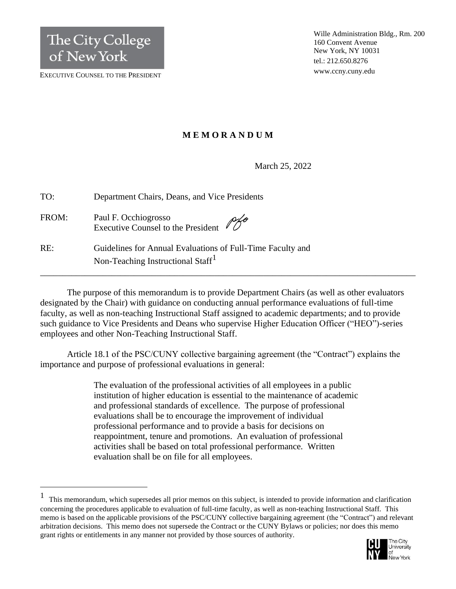EXECUTIVE COUNSEL TO THE PRESIDENT

# **M E M O R A N D U M**

March 25, 2022

| TO:   | Department Chairs, Deans, and Vice Presidents                                                               |
|-------|-------------------------------------------------------------------------------------------------------------|
| FROM: | Paul F. Occhiogrosso<br>$Pf^{\circ}$<br>Executive Counsel to the President                                  |
| RE:   | Guidelines for Annual Evaluations of Full-Time Faculty and<br>Non-Teaching Instructional Staff <sup>1</sup> |

The purpose of this memorandum is to provide Department Chairs (as well as other evaluators designated by the Chair) with guidance on conducting annual performance evaluations of full-time faculty, as well as non-teaching Instructional Staff assigned to academic departments; and to provide such guidance to Vice Presidents and Deans who supervise Higher Education Officer ("HEO")-series employees and other Non-Teaching Instructional Staff.

\_\_\_\_\_\_\_\_\_\_\_\_\_\_\_\_\_\_\_\_\_\_\_\_\_\_\_\_\_\_\_\_\_\_\_\_\_\_\_\_\_\_\_\_\_\_\_\_\_\_\_\_\_\_\_\_\_\_\_\_\_\_\_\_\_\_\_\_\_\_\_\_\_\_\_\_\_\_\_\_\_\_\_\_

Article 18.1 of the PSC/CUNY collective bargaining agreement (the "Contract") explains the importance and purpose of professional evaluations in general:

> The evaluation of the professional activities of all employees in a public institution of higher education is essential to the maintenance of academic and professional standards of excellence. The purpose of professional evaluations shall be to encourage the improvement of individual professional performance and to provide a basis for decisions on reappointment, tenure and promotions. An evaluation of professional activities shall be based on total professional performance. Written evaluation shall be on file for all employees.

<sup>1</sup> This memorandum, which supersedes all prior memos on this subject, is intended to provide information and clarification concerning the procedures applicable to evaluation of full-time faculty, as well as non-teaching Instructional Staff. This memo is based on the applicable provisions of the PSC/CUNY collective bargaining agreement (the "Contract") and relevant arbitration decisions. This memo does not supersede the Contract or the CUNY Bylaws or policies; nor does this memo grant rights or entitlements in any manner not provided by those sources of authority.

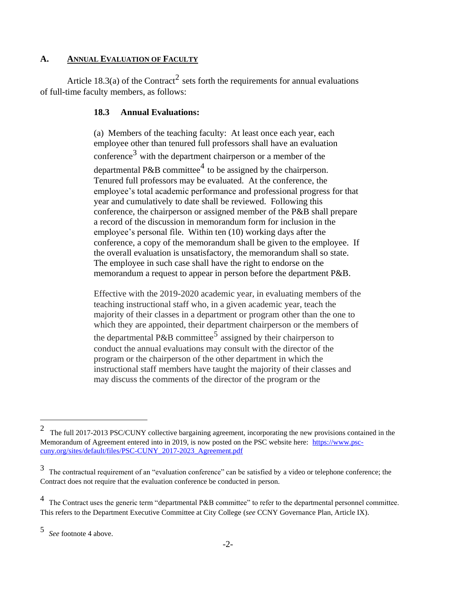# **A. ANNUAL EVALUATION OF FACULTY**

Article 18.3(a) of the Contract<sup>2</sup> sets forth the requirements for annual evaluations of full-time faculty members, as follows:

# **18.3 Annual Evaluations:**

(a) Members of the teaching faculty: At least once each year, each employee other than tenured full professors shall have an evaluation conference<sup>3</sup> with the department chairperson or a member of the departmental P&B committee<sup>4</sup> to be assigned by the chairperson. Tenured full professors may be evaluated. At the conference, the employee's total academic performance and professional progress for that year and cumulatively to date shall be reviewed. Following this conference, the chairperson or assigned member of the P&B shall prepare a record of the discussion in memorandum form for inclusion in the employee's personal file. Within ten (10) working days after the conference, a copy of the memorandum shall be given to the employee. If the overall evaluation is unsatisfactory, the memorandum shall so state. The employee in such case shall have the right to endorse on the memorandum a request to appear in person before the department P&B.

Effective with the 2019-2020 academic year, in evaluating members of the teaching instructional staff who, in a given academic year, teach the majority of their classes in a department or program other than the one to which they are appointed, their department chairperson or the members of the departmental P&B committee<sup>5</sup> assigned by their chairperson to conduct the annual evaluations may consult with the director of the program or the chairperson of the other department in which the instructional staff members have taught the majority of their classes and may discuss the comments of the director of the program or the

<sup>2</sup> The full 2017-2013 PSC/CUNY collective bargaining agreement, incorporating the new provisions contained in the Memorandum of Agreement entered into in 2019, is now posted on the PSC website here: [https://www.psc](https://www.psc-cuny.org/sites/default/files/PSC-CUNY_2017-2023_Agreement.pdf)[cuny.org/sites/default/files/PSC-CUNY\\_2017-2023\\_Agreement.pdf](https://www.psc-cuny.org/sites/default/files/PSC-CUNY_2017-2023_Agreement.pdf)

<sup>3</sup> The contractual requirement of an "evaluation conference" can be satisfied by a video or telephone conference; the Contract does not require that the evaluation conference be conducted in person.

<sup>&</sup>lt;sup>4</sup> The Contract uses the generic term "departmental P&B committee" to refer to the departmental personnel committee. This refers to the Department Executive Committee at City College (*see* CCNY Governance Plan, Article IX).

<sup>5</sup> *See* footnote 4 above.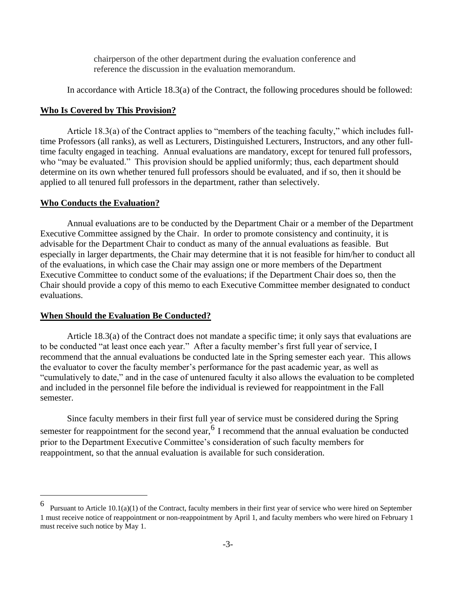chairperson of the other department during the evaluation conference and reference the discussion in the evaluation memorandum.

In accordance with Article 18.3(a) of the Contract, the following procedures should be followed:

#### **Who Is Covered by This Provision?**

Article 18.3(a) of the Contract applies to "members of the teaching faculty," which includes fulltime Professors (all ranks), as well as Lecturers, Distinguished Lecturers, Instructors, and any other fulltime faculty engaged in teaching. Annual evaluations are mandatory, except for tenured full professors, who "may be evaluated." This provision should be applied uniformly; thus, each department should determine on its own whether tenured full professors should be evaluated, and if so, then it should be applied to all tenured full professors in the department, rather than selectively.

#### **Who Conducts the Evaluation?**

Annual evaluations are to be conducted by the Department Chair or a member of the Department Executive Committee assigned by the Chair. In order to promote consistency and continuity, it is advisable for the Department Chair to conduct as many of the annual evaluations as feasible. But especially in larger departments, the Chair may determine that it is not feasible for him/her to conduct all of the evaluations, in which case the Chair may assign one or more members of the Department Executive Committee to conduct some of the evaluations; if the Department Chair does so, then the Chair should provide a copy of this memo to each Executive Committee member designated to conduct evaluations.

### **When Should the Evaluation Be Conducted?**

Article 18.3(a) of the Contract does not mandate a specific time; it only says that evaluations are to be conducted "at least once each year." After a faculty member's first full year of service, I recommend that the annual evaluations be conducted late in the Spring semester each year. This allows the evaluator to cover the faculty member's performance for the past academic year, as well as "cumulatively to date," and in the case of untenured faculty it also allows the evaluation to be completed and included in the personnel file before the individual is reviewed for reappointment in the Fall semester.

Since faculty members in their first full year of service must be considered during the Spring semester for reappointment for the second year,  $6 \text{ I}$  recommend that the annual evaluation be conducted prior to the Department Executive Committee's consideration of such faculty members for reappointment, so that the annual evaluation is available for such consideration.

<sup>6</sup> Pursuant to Article 10.1(a)(1) of the Contract, faculty members in their first year of service who were hired on September 1 must receive notice of reappointment or non-reappointment by April 1, and faculty members who were hired on February 1 must receive such notice by May 1.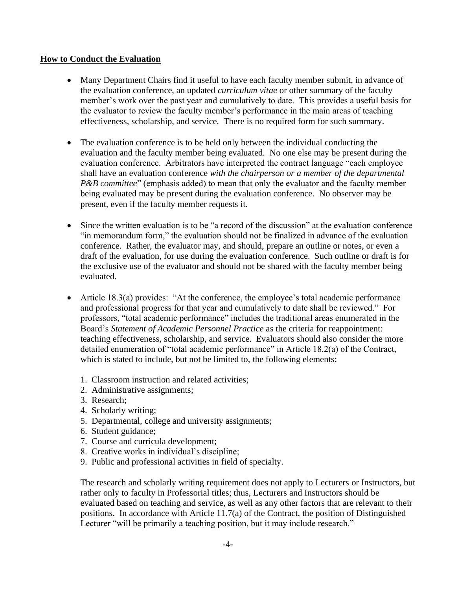# **How to Conduct the Evaluation**

- Many Department Chairs find it useful to have each faculty member submit, in advance of the evaluation conference, an updated *curriculum vitae* or other summary of the faculty member's work over the past year and cumulatively to date. This provides a useful basis for the evaluator to review the faculty member's performance in the main areas of teaching effectiveness, scholarship, and service. There is no required form for such summary.
- The evaluation conference is to be held only between the individual conducting the evaluation and the faculty member being evaluated. No one else may be present during the evaluation conference. Arbitrators have interpreted the contract language "each employee shall have an evaluation conference *with the chairperson or a member of the departmental P&B committee*" (emphasis added) to mean that only the evaluator and the faculty member being evaluated may be present during the evaluation conference. No observer may be present, even if the faculty member requests it.
- Since the written evaluation is to be "a record of the discussion" at the evaluation conference "in memorandum form," the evaluation should not be finalized in advance of the evaluation conference. Rather, the evaluator may, and should, prepare an outline or notes, or even a draft of the evaluation, for use during the evaluation conference. Such outline or draft is for the exclusive use of the evaluator and should not be shared with the faculty member being evaluated.
- Article 18.3(a) provides: "At the conference, the employee's total academic performance and professional progress for that year and cumulatively to date shall be reviewed." For professors, "total academic performance" includes the traditional areas enumerated in the Board's *Statement of Academic Personnel Practice* as the criteria for reappointment: teaching effectiveness, scholarship, and service. Evaluators should also consider the more detailed enumeration of "total academic performance" in Article 18.2(a) of the Contract, which is stated to include, but not be limited to, the following elements:
	- 1. Classroom instruction and related activities;
	- 2. Administrative assignments;
	- 3. Research;
	- 4. Scholarly writing;
	- 5. Departmental, college and university assignments;
	- 6. Student guidance;
	- 7. Course and curricula development;
	- 8. Creative works in individual's discipline;
	- 9. Public and professional activities in field of specialty.

The research and scholarly writing requirement does not apply to Lecturers or Instructors, but rather only to faculty in Professorial titles; thus, Lecturers and Instructors should be evaluated based on teaching and service, as well as any other factors that are relevant to their positions. In accordance with Article 11.7(a) of the Contract, the position of Distinguished Lecturer "will be primarily a teaching position, but it may include research."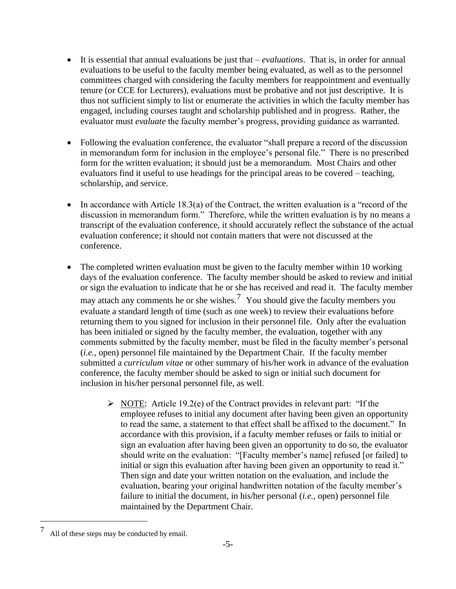- It is essential that annual evaluations be just that *evaluations*. That is, in order for annual evaluations to be useful to the faculty member being evaluated, as well as to the personnel committees charged with considering the faculty members for reappointment and eventually tenure (or CCE for Lecturers), evaluations must be probative and not just descriptive. It is thus not sufficient simply to list or enumerate the activities in which the faculty member has engaged, including courses taught and scholarship published and in progress. Rather, the evaluator must *evaluate* the faculty member's progress, providing guidance as warranted.
- Following the evaluation conference, the evaluator "shall prepare a record of the discussion in memorandum form for inclusion in the employee's personal file." There is no prescribed form for the written evaluation; it should just be a memorandum. Most Chairs and other evaluators find it useful to use headings for the principal areas to be covered – teaching, scholarship, and service.
- In accordance with Article 18.3(a) of the Contract, the written evaluation is a "record of the discussion in memorandum form." Therefore, while the written evaluation is by no means a transcript of the evaluation conference, it should accurately reflect the substance of the actual evaluation conference; it should not contain matters that were not discussed at the conference.
- The completed written evaluation must be given to the faculty member within 10 working days of the evaluation conference. The faculty member should be asked to review and initial or sign the evaluation to indicate that he or she has received and read it. The faculty member may attach any comments he or she wishes.<sup>7</sup> You should give the faculty members you evaluate a standard length of time (such as one week) to review their evaluations before returning them to you signed for inclusion in their personnel file. Only after the evaluation has been initialed or signed by the faculty member, the evaluation, together with any comments submitted by the faculty member, must be filed in the faculty member's personal (*i.e.*, open) personnel file maintained by the Department Chair. If the faculty member submitted a *curriculum vitae* or other summary of his/her work in advance of the evaluation conference, the faculty member should be asked to sign or initial such document for inclusion in his/her personal personnel file, as well.
	- $\triangleright$  NOTE: Article 19.2(e) of the Contract provides in relevant part: "If the employee refuses to initial any document after having been given an opportunity to read the same, a statement to that effect shall be affixed to the document." In accordance with this provision, if a faculty member refuses or fails to initial or sign an evaluation after having been given an opportunity to do so, the evaluator should write on the evaluation: "[Faculty member's name] refused [or failed] to initial or sign this evaluation after having been given an opportunity to read it." Then sign and date your written notation on the evaluation, and include the evaluation, bearing your original handwritten notation of the faculty member's failure to initial the document, in his/her personal (*i.e.*, open) personnel file maintained by the Department Chair.

<sup>7</sup> All of these steps may be conducted by email.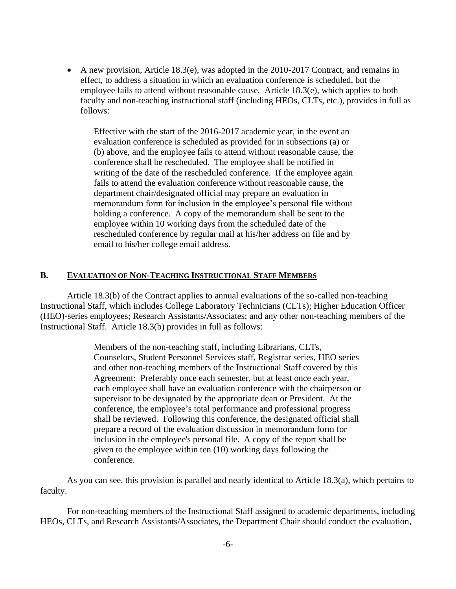• A new provision, Article 18.3(e), was adopted in the 2010-2017 Contract, and remains in effect, to address a situation in which an evaluation conference is scheduled, but the employee fails to attend without reasonable cause. Article 18.3(e), which applies to both faculty and non-teaching instructional staff (including HEOs, CLTs, etc.), provides in full as follows:

Effective with the start of the 2016-2017 academic year, in the event an evaluation conference is scheduled as provided for in subsections (a) or (b) above, and the employee fails to attend without reasonable cause, the conference shall be rescheduled. The employee shall be notified in writing of the date of the rescheduled conference. If the employee again fails to attend the evaluation conference without reasonable cause, the department chair/designated official may prepare an evaluation in memorandum form for inclusion in the employee's personal file without holding a conference. A copy of the memorandum shall be sent to the employee within 10 working days from the scheduled date of the rescheduled conference by regular mail at his/her address on file and by email to his/her college email address.

#### **B. EVALUATION OF NON-TEACHING INSTRUCTIONAL STAFF MEMBERS**

Article 18.3(b) of the Contract applies to annual evaluations of the so-called non-teaching Instructional Staff, which includes College Laboratory Technicians (CLTs); Higher Education Officer (HEO)-series employees; Research Assistants/Associates; and any other non-teaching members of the Instructional Staff. Article 18.3(b) provides in full as follows:

> Members of the non-teaching staff, including Librarians, CLTs, Counselors, Student Personnel Services staff, Registrar series, HEO series and other non-teaching members of the Instructional Staff covered by this Agreement: Preferably once each semester, but at least once each year, each employee shall have an evaluation conference with the chairperson or supervisor to be designated by the appropriate dean or President. At the conference, the employee's total performance and professional progress shall be reviewed. Following this conference, the designated official shall prepare a record of the evaluation discussion in memorandum form for inclusion in the employee's personal file. A copy of the report shall be given to the employee within ten (10) working days following the conference.

As you can see, this provision is parallel and nearly identical to Article 18.3(a), which pertains to faculty.

For non-teaching members of the Instructional Staff assigned to academic departments, including HEOs, CLTs, and Research Assistants/Associates, the Department Chair should conduct the evaluation,